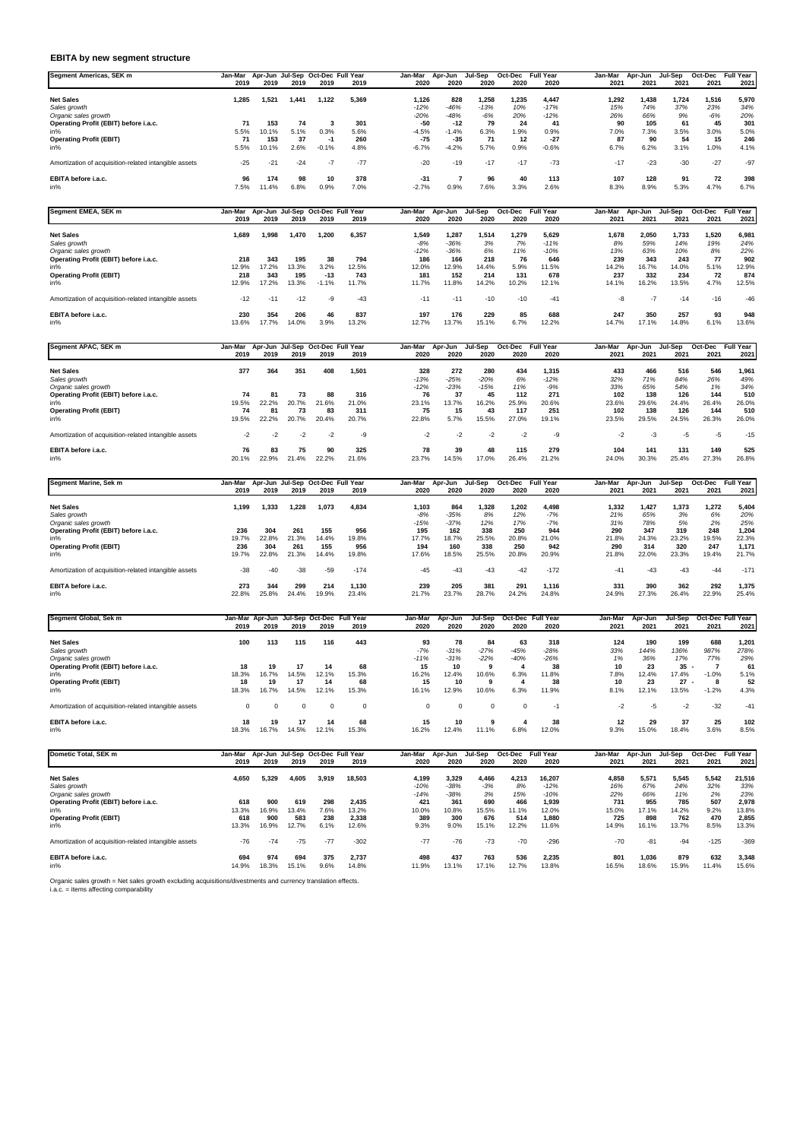## **EBITA by new segment structure**

| Segment Americas, SEK m                               | Jan-Mar           | Apr-Jun | Jul-Sep       |         | Oct-Dec Full Year                             | Jan-Mar             | Apr-Jun             | Jul-Sep             | Oct-Dec             | <b>Full Year</b>             | Jan-Mar           | Apr-Jun           | Jul-Sep           | Oct-Dec           | Full Year           |
|-------------------------------------------------------|-------------------|---------|---------------|---------|-----------------------------------------------|---------------------|---------------------|---------------------|---------------------|------------------------------|-------------------|-------------------|-------------------|-------------------|---------------------|
|                                                       | 2019              | 2019    | 2019          | 2019    | 2019                                          | 2020                | 2020                | 2020                | 2020                | 2020                         | 2021              | 2021              | 2021              | 2021              | 2021                |
| <b>Net Sales</b>                                      | 1,285             | 1,521   | 1,441         | 1,122   | 5,369                                         | 1,126               | 828                 | 1,258               | 1,235               | 4,447                        | 1,292             | 1,438             | 1,724             | 1,516             | 5,970               |
| Sales growth                                          |                   |         |               |         |                                               | $-12%$              | $-46%$              | $-13%$              | 10%                 | $-17%$                       | 15%               | 74%               | 37%               | 23%               | 34%                 |
| Organic sales growth                                  |                   |         |               |         |                                               | $-20%$              | $-48%$              | $-6%$               | 20%                 | $-12%$                       | 26%               | 66%               | 9%                | $-6%$             | 20%                 |
| Operating Profit (EBIT) before i.a.c.                 | 71                | 153     | 74            |         | 301                                           | -50                 | $-12$               | 79                  | 24                  | -41                          | 90                | 105               | 61                | 45                | 301                 |
| in%                                                   | 5.5%              | 10.1%   | 5.1%          | 0.3%    | 5.6%                                          | $-4.5%$             | $-1.4%$             | 6.3%                | $1.9\%$             | 0.9%                         | 7.0%              | 7.3%              | 3.5%              | 3.0%              | 5.0%                |
| <b>Operating Profit (EBIT)</b>                        | 71                | 153     | 37            | -1      | 260                                           | $-75$               | $-35$               | 71                  | 12                  | -27                          | 87                | 90                | 54                | 15                | 246                 |
| in%                                                   | 5.5%              | 10.1%   | 2.6%          | $-0.1%$ | 4.8%                                          | $-6.7%$             | $-4.2%$             | 5.7%                | 0.9%                | $-0.6%$                      | 6.7%              | 6.2%              | 3.1%              | 1.0%              | 4.1%                |
| Amortization of acquisition-related intangible assets | $-25$             | $-21$   | $-24$         | $-7$    | $-77$                                         | $-20$               | $-19$               | $-17$               | $-17$               | $-73$                        | $-17$             | $-23$             | $-30$             | $-27$             | $-97$               |
| EBITA before i.a.c.                                   | 96                | 174     | 98            | 10      | 378                                           | -31                 |                     | 96                  | 40                  | 113                          | 107               | 128               | 91                | 72                | 398                 |
| in%                                                   | 7.5%              | 1.4%    | 6.8%          | 0.9%    | 7.0%                                          | $-2.7%$             | 0.9%                | 7.6%                | 3.3%                | 2.6%                         | 8.3%              | 8.9%              | 5.3%              | 4.7%              | 6.7%                |
|                                                       |                   |         |               |         |                                               |                     |                     |                     |                     |                              |                   |                   |                   |                   |                     |
| Segment EMEA, SEK m                                   | Jan-Mar<br>$\sim$ | $\sim$  | $\sim$ $\sim$ | $\sim$  | Apr-Jun Jul-Sep Oct-Dec Full Year<br>$\cdots$ | Jan-Mar<br>$\cdots$ | Apr-Jun<br>$\cdots$ | Jul-Sep<br>$\cdots$ | Oct-Dec<br>$\cdots$ | <b>Full Year</b><br>$\cdots$ | Jan-Mar<br>$\sim$ | Apr-Jun<br>$\sim$ | Jul-Sep<br>$\sim$ | Oct-Dec<br>$\sim$ | Full Year<br>$\sim$ |

|                                                       | 2019  | 2019  | 2019  | 2019    | 2019  | 2020   | 2020   | 2020  | 2020  | 2020   | 2021  | 2021                     | 2021  | 2021  | 2021  |
|-------------------------------------------------------|-------|-------|-------|---------|-------|--------|--------|-------|-------|--------|-------|--------------------------|-------|-------|-------|
| <b>Net Sales</b>                                      | 1,689 | 1.998 | 1,470 | 1,200   | 6,357 | 1,549  | 1.287  | 1,514 | 1,279 | 5,629  | 1,678 | 2,050                    | 1.733 | 1,520 | 6,981 |
| Sales growth                                          |       |       |       |         |       | $-8%$  | $-36%$ | 3%    | 7%    | $-11%$ | 8%    | 59%                      | 14%   | 19%   | 24%   |
| Organic sales growth                                  |       |       |       |         |       | $-12%$ | $-36%$ | 6%    | 11%   | $-10%$ | 13%   | 63%                      | 10%   | 8%    | 22%   |
| Operating Profit (EBIT) before i.a.c.                 | 218   | 343   | 195   | 38      | 794   | 186    | 166    | 218   | 76    | 646    | 239   | 343                      | 243   | 77    | 902   |
| in%                                                   | 12.9% | 17.2% | 13.3% | 3.2%    | 12.5% | 12.0%  | 12.9%  | 14.4% | 5.9%  | 11.5%  | 14.2% | 16.7%                    | 14.0% | 5.1%  | 12.9% |
| <b>Operating Profit (EBIT)</b>                        | 218   | 343   | 195   | $-13$   | 743   | 181    | 152    | 214   | 131   | 678    | 237   | 332                      | 234   | 72    | 874   |
| in%                                                   | 12.9% | 17.2% | 13.3% | $-1.1%$ | 11.7% | 11.7%  | 11.8%  | 14.2% | 10.2% | 12.1%  | 14.1% | 16.2%                    | 13.5% | 4.7%  | 12.5% |
| Amortization of acquisition-related intangible assets | $-12$ | $-11$ | $-12$ | -9      | $-43$ | $-1$   | $-11$  | $-10$ | $-10$ | $-41$  | -8    | $\overline{\phantom{a}}$ | $-14$ | $-16$ | $-46$ |
| EBITA before i.a.c.                                   | 230   | 354   | 206   | 46      | 837   | 197    | 176    | 229   | 85    | 688    | 247   | 350                      | 257   | 93    | 948   |
| in%                                                   | 13.6% | 7.7%  | 14.0% | 3.9%    | 13.2% | 12.7%  | 13.7%  | 15.1% | 6.7%  | 12.2%  | 14.7% | 17.1%                    | 14.8% | 6.1%  | 13.6% |

| Segment APAC, SEK m                                   | Jan-Mar<br>2019 | Apr-Jun Jul-Sep Oct-Dec Full Year<br>2019 | 2019  | 2019  | 2019  | Jan-Mar<br>2020 | Apr-Jun<br>2020 | Jul-Sep<br>2020 | Oct-Dec<br>2020 | <b>Full Year</b><br>2020 | Jan-Mar<br>2021 | Apr-Jun<br>2021 | Jul-Sep<br>2021 | Oct-Dec<br>2021 | <b>Full Year</b><br>2021 |
|-------------------------------------------------------|-----------------|-------------------------------------------|-------|-------|-------|-----------------|-----------------|-----------------|-----------------|--------------------------|-----------------|-----------------|-----------------|-----------------|--------------------------|
| <b>Net Sales</b>                                      | 377             | 364                                       | 351   | 408   | 1,501 | 328             | 272             | 280             | 434             | 1,315                    | 433             | 466             | 516             | 546             | 1,961                    |
| Sales growth                                          |                 |                                           |       |       |       | -13%            | $-25%$          | $-20%$          | 6%              | $-12%$                   | 32%             | 71%             | 84%             | 26%             | 49%                      |
| Organic sales growth                                  |                 |                                           |       |       |       | $-12%$          | $-23%$          | $-15%$          | 11%             | $-9%$                    | 33%             | 65%             | 54%             | 1%              | 34%                      |
| Operating Profit (EBIT) before i.a.c.                 | 74              | 81                                        | 73    | 88    | 316   | 76              | 37              | 45              | 112             | 271                      | 102             | 138             | 126             | 144             | 510                      |
| in%                                                   | 19.5%           | 22.2%                                     | 20.7% | 21.6% | 21.0% | 23.1%           | 13.7%           | 16.2%           | 25.9%           | 20.6%                    | 23.6%           | 29.6%           | 24.4%           | 26.4%           | 26.0%                    |
| <b>Operating Profit (EBIT)</b>                        | 74              | 81                                        | 73    | 83    | 311   | 75              | 15              | 43              | 117             | 251                      | 102             | 138             | 126             | 144             | 510                      |
| in%                                                   | 19.5%           | 22.2%                                     | 20.7% | 20.4% | 20.7% | 22.8%           | 5.7%            | 15.5%           | 27.0%           | 19.1%                    | 23.5%           | 29.5%           | 24.5%           | 26.3%           | 26.0%                    |
| Amortization of acquisition-related intangible assets | -2              | -2                                        | $-2$  | $-2$  | -9    | $-2$            | -2              | $-2$            | $-2$            | -9                       | $-2$            | -3              | -5              | -5              | $-15$                    |
| EBITA before i.a.c.                                   | 76              | 83                                        | 75    | 90    | 325   | 78              | 39              | 48              | 115             | 279                      | 104             | 141             | 131             | 149             | 525                      |
| in%                                                   | 20.1%           | 22.9%                                     | 21.4% | 22.2% | 21.6% | 23.7%           | 14.5%           | 17.0%           | 26.4%           | 21.2%                    | 24.0%           | 30.3%           | 25.4%           | 27.3%           | 26.8%                    |

| Segment Marine, Sek m                                 | Jan-Mar | Apr-Jun Jul-Sep Oct-Dec Full Year |       |       |        | Jan-Mar | Apr-Jun | Jul-Sep | Oct-Dec | <b>Full Year</b> | Jan-Mar | Apr-Jun | Jul-Sep | Oct-Dec | Full Year |
|-------------------------------------------------------|---------|-----------------------------------|-------|-------|--------|---------|---------|---------|---------|------------------|---------|---------|---------|---------|-----------|
|                                                       | 2019    | 2019                              | 2019  | 2019  | 2019   | 2020    | 2020    | 2020    | 2020    | 2020             | 2021    | 2021    | 2021    | 2021    | 2021      |
| <b>Net Sales</b>                                      | 1,199   | 1,333                             | .228  | 1.073 | 4,834  | 1,103   | 864     | 1.328   | 1,202   | 4.498            | 1.332   | 1.427   | 1,373   | 1,272   | 5,404     |
| Sales growth                                          |         |                                   |       |       |        | $-8%$   | $-35%$  | 8%      | 12%     | $-7%$            | 21%     | 65%     | 3%      | 6%      | 20%       |
| Organic sales growth                                  |         |                                   |       |       |        | $-15%$  | $-37%$  | 12%     | 17%     | $-7%$            | 31%     | 78%     | 5%      | 2%      | 25%       |
| Operating Profit (EBIT) before i.a.c.                 | 236     | 304                               | 261   | 155   | 956    | 195     | 162     | 338     | 250     | 944              | 290     | 347     | 319     | 248     | 1,204     |
| in%                                                   | 19.7%   | 22.8%                             | 21.3% | 14.4% | 19.8%  | 17.7%   | 18.7%   | 25.5%   | 20.8%   | 21.0%            | 21.8%   | 24.3%   | 23.2%   | 19.5%   | 22.3%     |
| <b>Operating Profit (EBIT)</b>                        | 236     | 304                               | 261   | 155   | 956    | 194     | 160     | 338     | 250     | 942              | 290     | 314     | 320     | 247     | 1,17'     |
| in%                                                   | 19.7%   | 22.8%                             | 21.3% | 14.4% | 19.8%  | 17.6%   | 18.5%   | 25.5%   | 20.8%   | 20.9%            | 21.8%   | 22.0%   | 23.3%   | 19.4%   | 21.7%     |
| Amortization of acquisition-related intangible assets | $-38$   | -40                               | -38   | -59   | $-174$ | -45     | -43     | $-43$   | $-42$   | $-172$           | $-41$   | $-43$   | -43     | $-44$   | $-171$    |
| EBITA before i.a.c.                                   | 273     | 344                               | 299   | 214   | 1,130  | 239     | 205     | 381     | 291     | 1,116            | 331     | 390     | 362     | 292     | 1,375     |
| in%                                                   | 22.8%   | 25.8%                             | 24.4% | 19.9% | 23.4%  | 21.7%   | 23.7%   | 28.7%   | 24.2%   | 24.8%            | 24.9%   | 27.3%   | 26.4%   | 22.9%   | 25.4%     |

| Segment Global, Sek m                                 | Jan-Mar Apr-Jun Jul-Sep Oct-Dec |       |       |       | Full Year | Jan-Mar | Apr-Jun | Jul-Sep | Oct-Dec | Full Year | Jan-Mar | Apr-Jun | Jul-Sep | Oct-Dec Full Year |       |
|-------------------------------------------------------|---------------------------------|-------|-------|-------|-----------|---------|---------|---------|---------|-----------|---------|---------|---------|-------------------|-------|
|                                                       | 2019                            | 2019  | 2019  | 2019  | 2019      | 2020    | 2020    | 2020    | 2020    | 2020      | 2021    | 2021    | 2021    | 2021              | 2021  |
|                                                       |                                 |       |       |       |           |         |         |         |         |           |         |         |         |                   |       |
| <b>Net Sales</b>                                      | 100                             | 113   | 115   | 116   | 443       | 93      | 78      | 84      | 63      | 318       | 124     | 190     | 199     | 688               | 1,201 |
| Sales growth                                          |                                 |       |       |       |           | $-7%$   | $-31%$  | $-27%$  | $-45%$  | $-28%$    | 33%     | 144%    | 136%    | 987%              | 278%  |
| Organic sales growth                                  |                                 |       |       |       |           | $-11%$  | $-31%$  | $-22%$  | -40%    | $-26%$    | 1%      | 36%     | 17%     | 77%               | 29%   |
| Operating Profit (EBIT) before i.a.c.                 | 18                              | 19    | 17    | 14    | 68        | 15      | 10      | 9       |         | 38        | 10      | 23      | $35 -$  |                   | 61    |
| in%                                                   | 18.3%                           | 16.7% | 14.5% | 12.1% | 15.3%     | 16.2%   | 12.4%   | 10.6%   | 6.3%    | 11.8%     | 7.8%    | 12.4%   | 17.4%   | $-1.0%$           | 5.1%  |
| <b>Operating Profit (EBIT)</b>                        | 18                              | 19    | 17    | 14    | 68        | 15      | 10      | 9       |         | 38        | 10      | 23      | $27 -$  | - 6               | 52    |
| in%                                                   | 18.3%                           | 16.7% | 14.5% | 12.1% | 15.3%     | 16.1%   | 12.9%   | 10.6%   | 6.3%    | 11.9%     | 8.1%    | 12.1%   | 13.5%   | $-1.2%$           | 4.3%  |
| Amortization of acquisition-related intangible assets | 0                               | 0     |       |       |           |         | 0       | 0       |         | -1        | -2      | -5      | $-2$    | $-32$             | $-41$ |
| EBITA before i.a.c.                                   | 18                              | 19    | 17    | 14    | 68        | 15      | 10      |         |         | 38        | 12      | 29      | 37      | 25                | 102   |
| in%                                                   | 18.3%                           | 16.7% | 14.5% | 12.1% | 15.3%     | 16.2%   | 12.4%   | 11.1%   | 6.8%    | 12.0%     | 9.3%    | 15.0%   | 18.4%   | 3.6%              | 8.5%  |

| Dometic Total, SEK m                                  |       | Jan-Mar Apr-Jun Jul-Sep Oct-Dec Full Year |       |             |                | Jan-Mar      | Apr-Jun | Jul-Sep      | Oct-Dec      | <b>Full Year</b> | Jan-Mar      | Apr-Jun        | Jul-Sep      | Oct-Dec      | <b>Full Year</b> |
|-------------------------------------------------------|-------|-------------------------------------------|-------|-------------|----------------|--------------|---------|--------------|--------------|------------------|--------------|----------------|--------------|--------------|------------------|
|                                                       | 2019  | 2019                                      | 2019  | 2019        | 2019           | 2020         | 2020    | 2020         | 2020         | 2020             | 2021         | 2021           | 2021         | 2021         | 2021             |
| <b>Net Sales</b>                                      | 4,650 | 5.329                                     | 4,605 | 3,919       | 18,503         | 4,199        | 3,329   | 4,466        | 4,213        | 16,207           | 4,858        | 5,571          | 5,545        | 5,542        | 21,516           |
| Sales growth                                          |       |                                           |       |             |                | $-10%$       | $-38%$  | $-3%$        | 8%           | $-12%$           | 16%          | 67%            | 24%          | 32%          | 33%              |
| Organic sales growth                                  |       |                                           |       |             |                | $-14%$       | $-38%$  | 3%           | 15%          | $-10%$           | 22%          | 66%            | 11%          | 2%           | 23%              |
| Operating Profit (EBIT) before i.a.c.                 | 618   | 900                                       | 619   | 298         | 2.435          | 421          | 361     | 690          | 466          | 1.939            | 731          | 955            | 785          | 507          | 2,978            |
| in%                                                   | 13.3% | 16.9%                                     | 13.4% | 7.6%        | 13.2%          | 10.0%        | 10.8%   | 15.5%        | 11.1%        | 12.0%            | 15.0%        | 17.1%          | 14.2%        | 9.2%         | 13.8%            |
| <b>Operating Profit (EBIT)</b>                        | 618   | 900                                       | 583   | 238         | 2,338          | 389          | 300     | 676          | 514          | 1.880            | 725          | 898            | 762          | 470          | 2,855            |
| in%                                                   | 13.3% | 16.9%                                     | 12.7% | 6.1%        | 12.6%          | 9.3%         | 9.0%    | 15.1%        | 12.2%        | 11.6%            | 14.9%        | 16.1%          | 13.7%        | 8.5%         | 13.3%            |
| Amortization of acquisition-related intangible assets | $-76$ | $-74$                                     | $-75$ | $-77$       | $-302$         | $-77$        | $-76$   | $-73$        | $-70$        | $-296$           | $-70$        | $-81$          | -94          | $-125$       | $-369$           |
| EBITA before i.a.c.<br>in%                            | 694   | 974<br>18.3%                              | 694   | 375<br>9.6% | 2,737<br>14.8% | 498<br>11.9% | 437     | 763<br>17.1% | 536<br>12.7% | 2,235<br>13.8%   | 801<br>16.5% | 1.036<br>18.6% | 879<br>15.9% | 632<br>11.4% | 3,348<br>15.6%   |
|                                                       | 14.9% |                                           | 15.1% |             |                |              | 13.1%   |              |              |                  |              |                |              |              |                  |

Organic sales growth = Net sales growth excluding acquisitions/divestments and currency translation effects. i.a.c. = items affecting comparability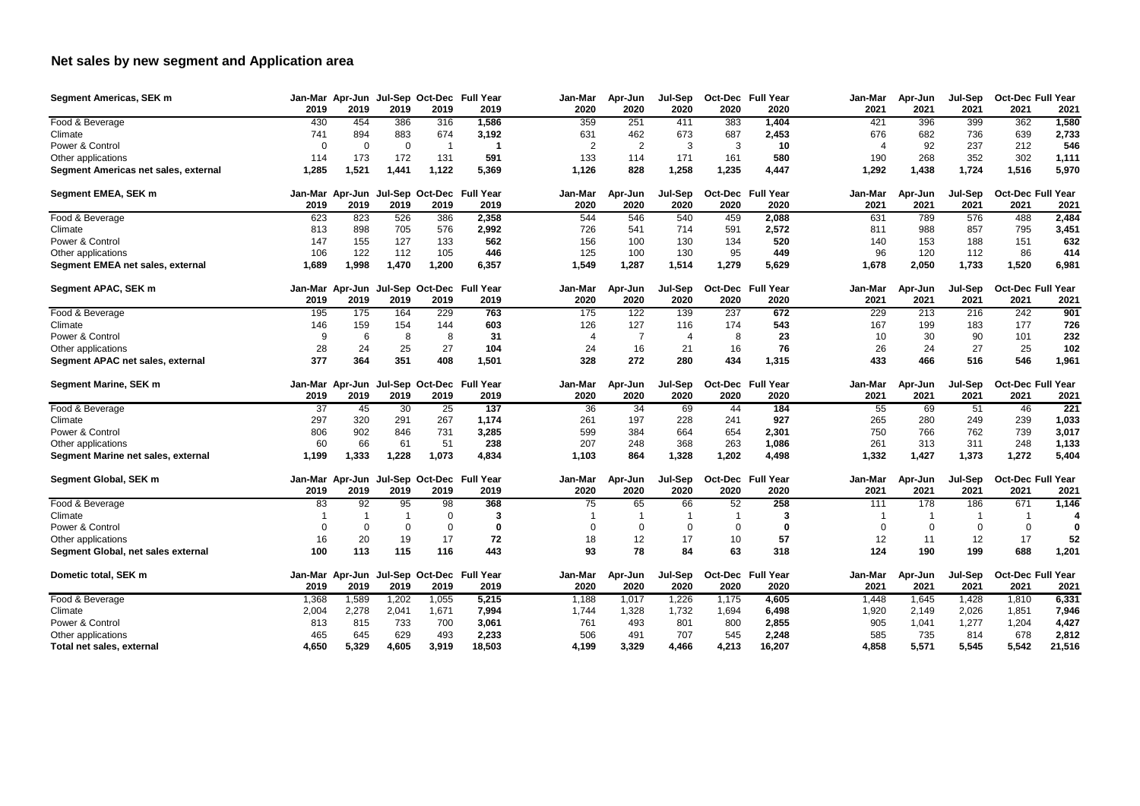## **Net sales by new segment and Application area**

| <b>Segment Americas, SEK m</b>       |         |                |             |          | Jan-Mar Apr-Jun Jul-Sep Oct-Dec Full Year | Jan-Mar        | Apr-Jun        | Jul-Sep        |         | <b>Oct-Dec</b> Full Year | Jan-Mar | Apr-Jun          | <b>Jul-Sep</b> | <b>Oct-Dec Full Year</b> |        |
|--------------------------------------|---------|----------------|-------------|----------|-------------------------------------------|----------------|----------------|----------------|---------|--------------------------|---------|------------------|----------------|--------------------------|--------|
|                                      | 2019    | 2019           | 2019        | 2019     | 2019                                      | 2020           | 2020           | 2020           | 2020    | 2020                     | 2021    | 2021             | 2021           | 2021                     | 2021   |
| Food & Beverage                      | 430     | 454            | 386         | 316      | 1,586                                     | 359            | 251            | 411            | 383     | 1,404                    | 421     | 396              | 399            | 362                      | 1,580  |
| Climate                              | 741     | 894            | 883         | 674      | 3,192                                     | 631            | 462            | 673            | 687     | 2,453                    | 676     | 682              | 736            | 639                      | 2,733  |
| Power & Control                      |         | $\overline{0}$ | $\mathbf 0$ | -1       | -1                                        | $\overline{2}$ | 2              | 3              | 3       | 10                       |         | 92               | 237            | 212                      | 546    |
| Other applications                   | 114     | 173            | 172         | 131      | 591                                       | 133            | 114            | 171            | 161     | 580                      | 190     | 268              | 352            | 302                      | 1,111  |
| Segment Americas net sales, external | 1,285   | 1,521          | 1,441       | 1,122    | 5,369                                     | 1,126          | 828            | 1,258          | 1,235   | 4,447                    | 1,292   | 1,438            | 1,724          | 1,516                    | 5,970  |
| Segment EMEA, SEK m                  |         |                |             |          | Jan-Mar Apr-Jun Jul-Sep Oct-Dec Full Year | Jan-Mar        | Apr-Jun        | Jul-Sep        |         | <b>Oct-Dec</b> Full Year | Jan-Mar | Apr-Jun          | Jul-Sep        | <b>Oct-Dec Full Year</b> |        |
|                                      | 2019    | 2019           | 2019        | 2019     | 2019                                      | 2020           | 2020           | 2020           | 2020    | 2020                     | 2021    | 2021             | 2021           | 2021                     | 2021   |
| Food & Beverage                      | 623     | 823            | 526         | 386      | 2,358                                     | 544            | 546            | 540            | 459     | 2,088                    | 631     | 789              | 576            | 488                      | 2,484  |
| Climate                              | 813     | 898            | 705         | 576      | 2,992                                     | 726            | 541            | 714            | 591     | 2,572                    | 811     | 988              | 857            | 795                      | 3,451  |
| Power & Control                      | 147     | 155            | 127         | 133      | 562                                       | 156            | 100            | 130            | 134     | 520                      | 140     | 153              | 188            | 151                      | 632    |
| Other applications                   | 106     | 122            | 112         | 105      | 446                                       | 125            | 100            | 130            | 95      | 449                      | 96      | 120              | 112            | 86                       | 414    |
| Segment EMEA net sales, external     | 1,689   | 1,998          | 1,470       | 1,200    | 6,357                                     | 1,549          | 1,287          | 1,514          | 1,279   | 5,629                    | 1,678   | 2,050            | 1,733          | 1,520                    | 6,981  |
| Segment APAC, SEK m                  | Jan-Mar |                |             |          | Apr-Jun Jul-Sep Oct-Dec Full Year         | Jan-Mar        | Apr-Jun        | Jul-Sep        |         | <b>Oct-Dec</b> Full Year | Jan-Mar | Apr-Jun          | <b>Jul-Sep</b> | <b>Oct-Dec Full Year</b> |        |
|                                      | 2019    | 2019           | 2019        | 2019     | 2019                                      | 2020           | 2020           | 2020           | 2020    | 2020                     | 2021    | 2021             | 2021           | 2021                     | 2021   |
| Food & Beverage                      | 195     | 175            | 164         | 229      | 763                                       | 175            | 122            | 139            | 237     | 672                      | 229     | $\overline{213}$ | 216            | 242                      | 901    |
| Climate                              | 146     | 159            | 154         | 144      | 603                                       | 126            | 127            | 116            | 174     | 543                      | 167     | 199              | 183            | 177                      | 726    |
| Power & Control                      |         | 6              | 8           | 8        | 31                                        |                | $\overline{7}$ | $\overline{4}$ | 8       | 23                       | 10      | 30               | 90             | 101                      | 232    |
| Other applications                   | 28      | 24             | 25          | 27       | 104                                       | 24             | 16             | 21             | 16      | 76                       | 26      | 24               | 27             | 25                       | 102    |
| Segment APAC net sales, external     | 377     | 364            | 351         | 408      | 1,501                                     | 328            | 272            | 280            | 434     | 1,315                    | 433     | 466              | 516            | 546                      | 1,961  |
| <b>Segment Marine, SEK m</b>         | Jan-Mar | Apr-Jun        |             |          | Jul-Sep Oct-Dec Full Year                 | Jan-Mar        | Apr-Jun        | Jul-Sep        | Oct-Dec | <b>Full Year</b>         | Jan-Mar | Apr-Jun          | Jul-Sep        | <b>Oct-Dec Full Year</b> |        |
|                                      | 2019    | 2019           | 2019        | 2019     | 2019                                      | 2020           | 2020           | 2020           | 2020    | 2020                     | 2021    | 2021             | 2021           | 2021                     | 2021   |
| Food & Beverage                      | 37      | 45             | 30          | 25       | 137                                       | 36             | 34             | 69             | 44      | 184                      | 55      | 69               | 51             | 46                       | 221    |
| Climate                              | 297     | 320            | 291         | 267      | 1,174                                     | 261            | 197            | 228            | 241     | 927                      | 265     | 280              | 249            | 239                      | 1,033  |
| Power & Control                      | 806     | 902            | 846         | 731      | 3,285                                     | 599            | 384            | 664            | 654     | 2,301                    | 750     | 766              | 762            | 739                      | 3,017  |
| Other applications                   | 60      | 66             | 61          | 51       | 238                                       | 207            | 248            | 368            | 263     | 1,086                    | 261     | 313              | 311            | 248                      | 1,133  |
| Segment Marine net sales, external   | 1,199   | 1,333          | 1,228       | 1,073    | 4,834                                     | 1,103          | 864            | 1,328          | 1,202   | 4,498                    | 1,332   | 1,427            | 1,373          | 1,272                    | 5,404  |
| Segment Global, SEK m                |         |                |             |          | Jan-Mar Apr-Jun Jul-Sep Oct-Dec Full Year | Jan-Mar        | Apr-Jun        | Jul-Sep        |         | <b>Oct-Dec</b> Full Year | Jan-Mar | Apr-Jun          | Jul-Sep        | <b>Oct-Dec Full Year</b> |        |
|                                      | 2019    | 2019           | 2019        | 2019     | 2019                                      | 2020           | 2020           | 2020           | 2020    | 2020                     | 2021    | 2021             | 2021           | 2021                     | 2021   |
| Food & Beverage                      | 83      | 92             | 95          | 98       | 368                                       | 75             | 65             | 66             | 52      | 258                      | 111     | 178              | 186            | 671                      | 1,146  |
| Climate                              |         |                |             | $\Omega$ | -3                                        |                |                |                |         | 3                        |         |                  |                |                          |        |
| Power & Control                      |         | $\Omega$       | 0           | 0        | 0                                         | 0              | 0              | 0              | 0       |                          | 0       | 0                | 0              | 0                        | 0      |
| Other applications                   | 16      | 20             | 19          | 17       | 72                                        | 18             | 12             | 17             | 10      | 57                       | 12      | 11               | 12             | 17                       | 52     |
| Segment Global, net sales external   | 100     | 113            | 115         | 116      | 443                                       | 93             | 78             | 84             | 63      | 318                      | 124     | 190              | 199            | 688                      | 1,201  |
| Dometic total, SEK m                 |         |                |             |          | Jan-Mar Apr-Jun Jul-Sep Oct-Dec Full Year | Jan-Mar        | Apr-Jun        | Jul-Sep        |         | <b>Oct-Dec</b> Full Year | Jan-Mar | Apr-Jun          | Jul-Sep        | <b>Oct-Dec Full Year</b> |        |
|                                      | 2019    | 2019           | 2019        | 2019     | 2019                                      | 2020           | 2020           | 2020           | 2020    | 2020                     | 2021    | 2021             | 2021           | 2021                     | 2021   |
| Food & Beverage                      | 1,368   | 1,589          | 1,202       | 1,055    | 5,215                                     | 1,188          | 1,017          | 1,226          | 1,175   | 4,605                    | 1,448   | 1,645            | 1,428          | 1,810                    | 6,331  |
| Climate                              | 2,004   | 2,278          | 2,041       | 1,671    | 7,994                                     | 1,744          | 1,328          | 1,732          | 1,694   | 6,498                    | 1,920   | 2,149            | 2,026          | 1,851                    | 7,946  |
| Power & Control                      | 813     | 815            | 733         | 700      | 3,061                                     | 761            | 493            | 801            | 800     | 2,855                    | 905     | 1,041            | 1,277          | 1,204                    | 4,427  |
| Other applications                   | 465     | 645            | 629         | 493      | 2,233                                     | 506            | 491            | 707            | 545     | 2,248                    | 585     | 735              | 814            | 678                      | 2,812  |
| Total net sales, external            | 4,650   | 5,329          | 4,605       | 3,919    | 18,503                                    | 4,199          | 3,329          | 4,466          | 4,213   | 16,207                   | 4,858   | 5,571            | 5,545          | 5,542                    | 21,516 |